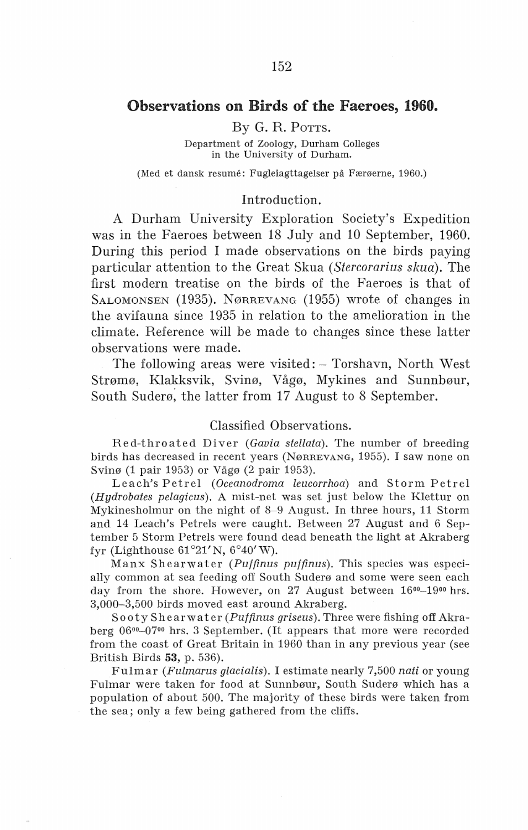# Observations on Birds of the Faeroes, 1960.

#### By G. R. POTTS.

Department of Zoology, Durham Colleges in the University of Durham.

(Med et dansk resume: Fugleiagttagelser på Færøerne, 1960.)

#### Introduction.

A Durham University Exploration Society's Expedition was in the Faeroes between 18 July and 10 September, 1960. During this period I made observations on the hirds paying particular attention to the Great Skua *(Stercorarius skua).* The first modem treatise on the hirds of the Faeroes is that of SALOMONSEN (1935). NØRREVANG (1955) wrote of changes in the avifauna since 1935 in relation to the amelioration in the climate. Reference will be made to changes since these latter observations were made.

The following areas were visited: - Torshavn, North West Strømø, Klakksvik, Svinø, Vågø, Mykines and Sunnbøur, South Suderø, the latter from 17 August to 8 September.

#### Classified Observations.

Red-throated Diver *(Gavia stellata).* The number of breeding birds has decreased in recent years (NøRREVANG, 1955). I saw none on Svinø (1 pair 1953) or Vågø (2 pair 1953).

Leach's Petrel *(Oceanodroma leucorrhoa)* and Storm Petrel *(Hydrobates pelagicus).* A mist-net was set just below the Klettur on Mykinesholmur on the night of 8-9 August. In three hours, 11 Storm and 14 Leach's Petrels were caught. Between 27 August and 6 September 5 Storm Petrels were found dead beneath the light at Akraberg fyr (Lighthouse  $61^{\circ}21'$ N,  $6^{\circ}40'$ W).

Manx Shearwater *(Puffinus puffinus).* This species was especially common at sea feeding off South Suderø and some were seen each day from the shore. However, on 27 August between  $16^{00} - 19^{00}$  hrs. 3,000-3,500 birds moved east around Akraberg.

So oty Shearwa ter *(Puffinus griseus).* Three were fishing off Akraberg 06°°-07°0 hrs. 3 September. (It appears that more were recorded from the coast of Great Britain in 1960 than in any previous year (see British Birds 53, p. 536).

Fulmar *(Fulmarus glacialis).* I estimate nearly 7,500 *nati* or young Fulmar were taken for food at Sunnbøur, South Suderø which has a population of about 500. The majority of these birds were taken from the sea; only a few being gathered from the cliffs.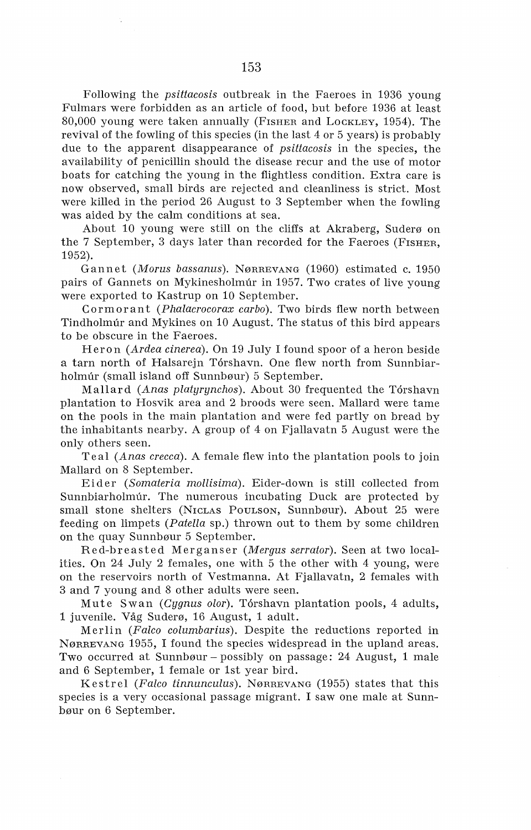Following the *psittacosis* outbreak in the Faeroes in 1936 young Fulmars were forbidden as an article of food, but before 1936 at least 80,000 young were taken annually (Fisher and LockLey, 1954). The revival of the fowling of this species (in the last 4 or 5 years) is probably due to the apparent disappearance of *psittacosis* in the species, the availability of penicillin should the disease recur and the use of motor boats for catching the young in the flightless condition. Extra care is now observed, small hirds are rejected and cleanliness is strict. Most were killed in the period 26 August to 3 September when the fowling was aided by the calm conditions at sea.

About 10 young were still on the cliffs at Akraberg, Suderø on the 7 September, 3 days later than recorded for the Faeroes (FISHER, 1952).

Gannet *(Morus bassanus).* NøRREVANG (1960) estimated c. 1950 pairs of Gannets on Mykinesholmúr in 1957. Two crates of live young were exported to Kastrup on 10 September.

Cormorant *(Phalacrocorax carbo).* Two hirds flew north between Tindholmúr and Mykines on 10 August. The status of this bird appears to be obscure in the Faeroes.

Heron *(Ardea cinerea).* On 19 July I found spoor of a heron beside a tarn north of Halsarejn Torshavn. One flew north from Sunnbiarholmúr (small island off Sunnbøur) 5 September.

Mallard *(Anas platyrynchos).* About 30 frequented the Torshavn plantation to Hosvik area and 2 broods were seen. Mallard were tame on the pools in the main plantation and were fed partly on bread by the inhabitants nearby. A group of 4 on Fjallavatn 5 August were the only others seen.

Teal *(Anas crecca).* A female flew into the plantation pools to join Mallard on 8 September.

Eider *(Somateria mollisima).* Eider-down is still collected from Sunnbiarholmúr. The numerous incubating Duck are protected by small stone shelters (NICLAS POULSON, Sunnbøur). About 25 were feeding on limpets *(Patella* sp.) thrown out to them by some children on the quay Sunnbøur 5 September.

Red-breasted Merganser *(Mergus serrator).* Seen at two localities. On 24 July 2 females, one with 5 the other with 4 young, were on the reservoirs north of Vestmanna. At Fjallavatn, 2 females with 3 and 7 young and 8 other adults were seen.

Mute Swan *(Cygnus olor).* Torshavn plantation pools, 4 adults, 1 juvenile. Våg Suderø, 16 August, 1 adult.

Merlin *(Falco columbarius).* Despite the reductions reported in NøRREVANG 1955, I found the species widespread in the upland areas. Two occurred at Sunnbøur - possibly on passage: 24 August, 1 male and 6 September, 1 female or 1st year bird.

Kestrel *(Falco tinnunculus).* NøRREVANG (1955) states that this species is a very occasional passage migrant. I saw one male at Sunnbøur on 6 September.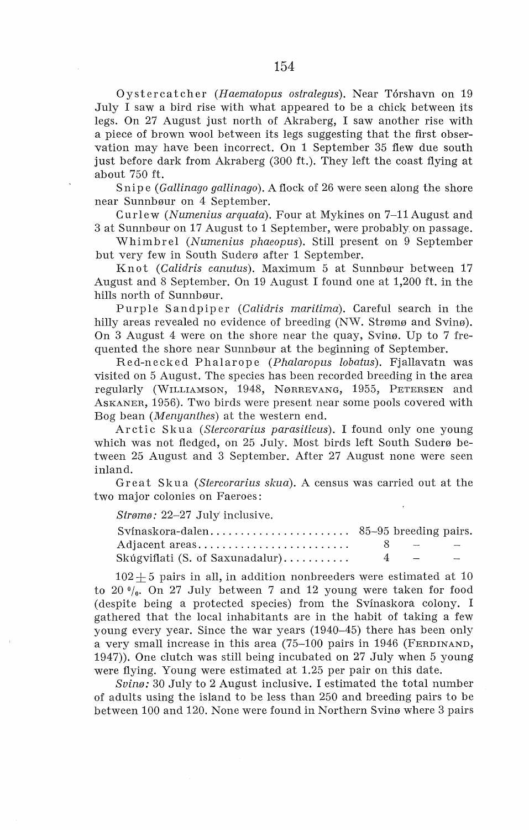Oystercatcher *(Haematopus ostralegus).* Near Torshavn on 19 July I saw a bird rise with what appeared to be a chick between its legs. On 27 August just north of Akraberg, I saw another rise with a piece of brown wool between its legs suggesting that the first observation may have been incorrect. On 1 September 35 flew due south just before dark from Akraberg (300 ft.). They left the coast flying at about 750 ft.

Snipe ( *Gallinago gallinago* ). A flock of 26 were seen along the shore near Sunnbøur on 4 September.

Curlew *(Numenius arquata).* Four at Mykines on 7-11 August and 3 at Sunnbøur on 17 August to 1 September, were probably on passage.

Whimbrel *(Numenius phaeopus).* Still present on 9 September but very few in South Suderø after 1 September.

Knot *(Calidris canutus).* Maximum 5 at Sunnbøur between 17 August and 8 September. On 19 August I found one at 1,200 ft. in the hills north of Sunnbøur.

Purple Sandpiper *(Calidris maritima).* Careful search in the hilly areas revealed no evidence of breeding (NW. Strømø and Svinø). On 3 August 4 were on the shore near the quay, Svinø. Up to 7 frequented the shore near Sunnbøur at the beginning of September.

Red-necked Phalarope *(Phalaropus lobatus).* Fjallavatn was visited on 5 August. The species has been recorded breeding in the area regularly (WrLLIAMSON, 1948, NøRREVANG, 1955, PETERSEN and AsKANER, 1956). Two birds were present near some pools covered with Bog bean *(Menyanthes)* at the western end.

Arctic Skua *(Stercorarius parasiticus).* I found only one young which was not fledged, on 25 July. Most birds left South Suderø between 25 August and 3 September. After 27 August none were seen inland.

Great Skua *(Stercorarius skua).* A census was carried out at the two major colonies on Faeroes:

*Strømø:* 22-27 July' inclusive.

| Adjacent areas                  | $8 - - -$ |  |
|---------------------------------|-----------|--|
| Skúgviflati (S. of Saxunadalur) | $4 - -$   |  |

 $102 + 5$  pairs in all, in addition nonbreeders were estimated at 10 to 20 $\frac{0}{a}$ . On 27 July between 7 and 12 young were taken for food (despite being a protected species) from the Svinaskora colony. I gathered that the local inhabitants are in the habit of taking a few young every year. Since the war years (1940-45) there has been only a very small increase in this area (75-100 pairs in 1946 (FERDINAND, 1947)). One clutch was still being incubated on 27 July when 5 young were flying. Young were estimated at 1.25 per pair on this date.

*Svinø:* 30 July to 2 August inclusive. I estimated the total number of adults using the island to be less than 250 and breeding pairs to be between 100 and 120. None were found in Northern Svinø where 3 pairs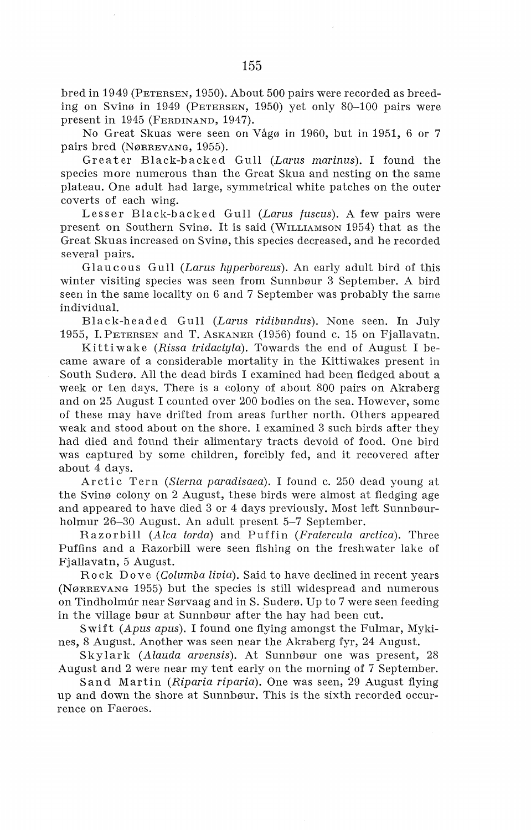bred in 1949 (PETERSEN, 1950). About 500 pairs were recorded as breeding on Svinø in 1949 (PETERSEN, 1950) yet only 80-100 pairs were present in 1945 (FERDINAND, 1947).

No Great Skuas were seen on Vågø in 1960, but in 1951, 6 or 7 pairs bred (NøRREVANG, 1955).

Greater Black-backed Gull *(Laras marinas).* I found the species more numerous than the Great Skua and nesting on the same plateau. One adult had large, symmetrical white patches on the outer coverts of each wing.

Lesser Black-backed Gull *(Laras fascas).* A few pairs were present on Southern Svinø. It is said (WILLIAMSON 1954) that as the Great Skuas increased on Svinø, this species decreased, and he recorded several pairs.

Glaucous Gull *(Laras hyperboreas).* An early adult bird of this winter visiting species was seen from Sunnbøur 3 September. A bird seen in the same locality on 6 and 7 September was probably the same individual.

Black-headed Gull *(Laras ridibandas).* None seen. In July 1955, I. PETERSEN and T. AsKANER (1956) found c. 15 on Fjallavatn.

Kittiwake *(Rissa tridactyla).* Towards the end of August I became aware of a considerable mortality in the Kittiwakes present in South Suderø. All the dead birds I examined had been fledged about a week or ten days. There is a colony of about 800 pairs on Akraberg and on 25 August I counted over 200 bodies on the sea. However, some of these may have drifted from areas further north. Others appeared weak and stood about on the shore. I examined 3 such birds after they had died and found their alimentary tracts devoid of food. One bird was captured by some children, forcibly fed, and it recovered after about 4 days.

Arctic Tern *(Sterna paradisaea).* I found c. 250 dead young at the Svinø colony on 2 August, these birds were almost at fledging age and appeared to have died 3 or 4 days previously. Most left Sunnbøurholmur 26-30 August. An adult present 5-7 September.

Razorbill *(Alca torda)* and Puffin *(Fratercala arctica).* Three Puffins and a Razorbill were seen fishing on the freshwater lake of Fjallavatn, 5 August.

Rock Do ve *(Colamba liuia).* Said to have declined in recent years (NøRREVANG 1955) but the species is still widespread and numerous on Tindholmur near Sørvaag and in S. Suderø. Up to 7 were seen feeding in the village bøur at Sunnbøur after the hay had been cut.

Swift *(Apas apas).* I found one flying amongst the Fulmar, Mykines, 8 August. Another was seen near the Akraberg fyr, 24 August.

Skylark *(Alaada aruensis).* At Sunnbøur one was present, 28 August and 2 were near my tent early on the morning of 7 September.

Sand Martin *(Riparia riparia).* One was seen, 29 August flying up and down the shore at Sunnbøur. This is the sixth recorded occurrence on Faeroes.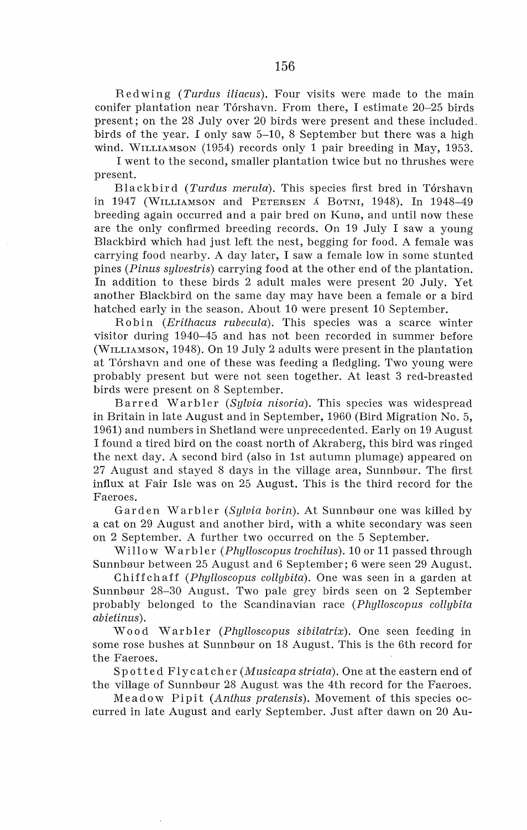Redwing *(Turdus iliacus).* Four visits were made to the main conifer plantation near Tórshavn. From there, I estimate 20–25 birds present; on the 28 July over 20 birds were present and these included, birds of the year. I only saw 5-10, 8 September but there was a high wind. WILLIAMSON (1954) records only 1 pair breeding in May, 1953.

I went to the second, smaller plantation twice but no thrushes were present.

Blackbird *(Turdus merula).* This species first bred in Torshavn in 1947 (\VILLIAMSON and PETERSEN A BoTNI, 1948). In 1948-49 breeding again occurred and a pair bred on Kunø, and until now these are the only confirmed breeding records. On 19 July I saw a young Blackbird which had just left the nest, begging for food. A female was carrying food nearby. A day later, I saw a female low in some stunted pines *(Pinus sylvestris)* carrying food at the other end of the plantation. In addition to these birds 2 adult males were present 20 July. Yet another Blackbird on the same day may have been a female or a bird hatched early in the season. About 10 were present 10 September.

Robin *(Erithacus rubecula).* This species was a scarce winter visitor during 1940-45 and has not been recorded in summer beforc (WILLIAMSON, 1948). On 19 July 2 adults were present in the plantation at Torshavn and one of these was feeding a fledgling. Two young were probably present but were not seen together. At least 3 red-breasted birds were present on 8 September.

Barred Warbler *(Sylvia nisoria).* This species was widespread in Britain in late August and in September, 1960 (Bird Migration No. 5, 1961) and numbers in Shetland were unprecedented. Early on 19 August I found a tired bird on the coast north of Akraberg, this bird was ringed the next day. A second bird (also in 1st autumn plumage) appeared on 27 August and stayed 8 days in the village area, Sunnbøur. The first influx at Fair Isle was on 25 August. This is the third record for the Faeroes.

Garden Warbler *(Sylvia borin).* At Sunnbøur one was killed by a cat on 29 August and another bird, with a white secondary was seen on 2 September. A further two occurred on the 5 September.

Willow Warbler *(Phylloscopus trochilus).* 10or11 passed through Sunnbøur between 25 August and 6 September; 6 were seen 29 August.

Chiffchaff *(Phylloscopus collybita).* One was seen in a garden at Sunnbøur 28-30 August. Two pale grey birds seen on 2 September probably belonged to the Scandinavian race *(Phylloscopus collybita abietinus).* 

W o od Warb ler *(Phylloscopus sibilatrix).* One seen feeding in some rose bushes at Sunnbøur on 18 August. This is the 6th record for the Faeroes.

Sp otted Fly ca tcher *(Musicapa striata).* One at the eastern end of the village of Sunnbøur 28 August was the 4th record for the Faeroes.

Meadow Pipit *(Anthus pratensis).* Movement of this species occurred in late August and early September. Just after dawn on 20 Au-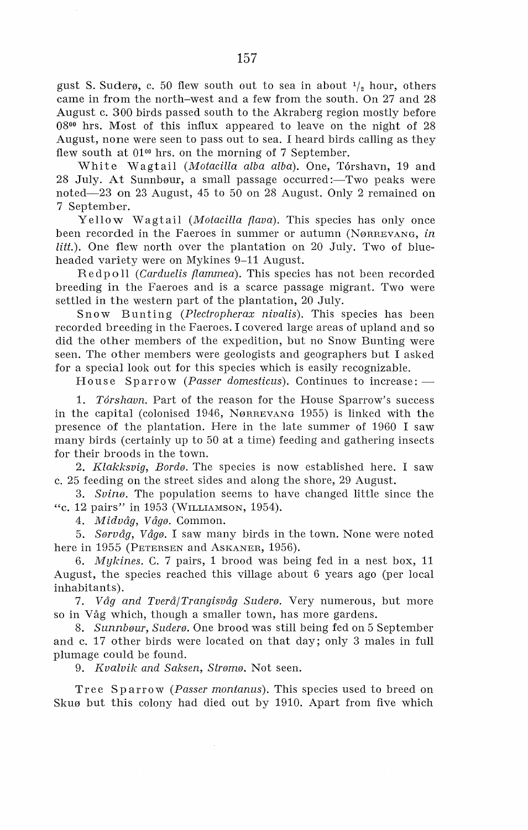gust S. Suderø, c. 50 flew south out to sea in about  $\frac{1}{2}$  hour, others came in from the north-west and a few from the south. On 27 and 28 August c. 300 hirds passed south to the Akraberg region mostly before 08<sup>00</sup> hrs. Most of this influx appeared to leave on the night of 28 August, none were seen to pass out to sea. I heard birds calling as they flew south at  $01<sup>00</sup>$  hrs. on the morning of 7 September.

White Wagtail *(Motacilla alba alba)*. One, Tórshavn, 19 and 28 July. At Sunnbøur, a small passage occurred:—Two peaks were noted-23 on 23 August, 45 to 50 on 28 August. Only 2 remained on 7 September.

Yellow Wagtail *(Motacilla {lava).* This species has only once been recorded in the Faeroes in summer or autumn (NøRREVANG, *in*  litt.). One flew north over the plantation on 20 July. Two of blueheaded variety were on Mykines 9-11 August.

Red p o 11 ( *Carduelis flammea).* This species has not been recorded breeding in the Faeroes and is a scarce passage migrant. Two were settled in the western part of the plantation, 20 July.

Snow Bunting *(Plectropherax nivalis).* This species has been recorded breeding in the Faeroes. I covered large areas of upland and so did the other members of the expedition, but no Snow Bunting were seen. The other members were geologists and geographers but I asked for a special look out for this species which is easily recognizable.

House Sparrow *(Passer domesticus)*. Continues to increase: -

1. *Torshavn.* Part of the reason for the House Sparrow's success in the capital (colonised 1946, NøRREVANG 1955) is linked with the presence of the plantation. Here in the late summer of 1960 I saw many birds (certainly up to 50 at a time) feeding and gathering insects for their broods in the town.

2. *Klakksvig, Bordø.* The species is now established here. I saw c. 25 feeding on the street sides and along the shore, 29 August.

3. *Svinø.* The population seems to have changed little since the "c. 12 pairs" in 1953 (WILLIAMSON, 1954).

4. *Midvåg, Vågø.* Common.

5. *Sørvåg, Vågø.* I saw many hirds in the town. None were noted here in 1955 (PETERSEN and ASKANER, 1956).

6. *Mykines.* C. 7 pairs, 1 brood was being fed in a nest box, 11 August, the species reached this village about 6 years ago (per local inhabitants).

7. *Våg and Tverå/Trangisvåg Suderø.* Very numerous, but more so in Våg which, though a smaller town, has more gardens.

8. *Sunnbøur, Suderø.* One brood was still being fed on 5 September and c. 17 other hirds were located on that day; only 3 males in full plumage could be found.

9. *Kvalvik and Saksen, Strømø.* Not seen.

Tree Sp arrow *(Passer montanus).* This species used to breed on Skuø but this colony had died out by 1910. Apart from five which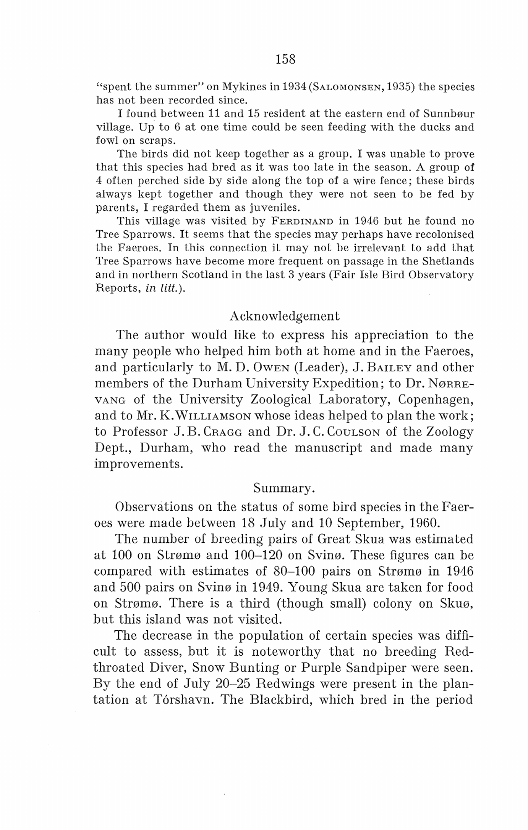''spent the summer" on Mykines in 1934 (SALOMONSEN, 1935) the species has not been recorded since.

I found between 11 and 15 resident at the eastern end of Sunnbøur village. Up to 6 at one time could be seen feeding with the ducks and fowl on scraps.

The birds did not keep together as a group. I was unable to prove that this species had bred as it was too late in the season. A group of 4 often perched side by side along the top of a wire fence; these birds always kept together and though they were not seen to be fed by parents, I regarded them as juveniles.

This village was visited by FERDINAND in 1946 but he found no Tree Sparrows. It seems that the species may perhaps have recolonised the Faeroes. In this connection it may not be irrelevant to add that Tree Sparrows have become more frequent on passage in the Shetlands and in northern Scotland in the last 3 years (Fair Isle Bird Observatory Reports, *in litt.*).

#### Acknowledgement

The author would like to express his appreciation to the many people who helped him both at home and in the Faeroes, and particularly to M. D. OWEN (Leader), J. BAILEY and other members of the Durham University Expedition; to Dr. Nørge-VANG of the University Zoological Laboratory, Copenhagen, and to Mr. K.WILLIAMSON whose ideas helped to plan the work; to Professor J.B. Cragg and Dr. J.C. Coulson of the Zoology Dept., Durham, who read the manuscript and made many improvements.

### Summary.

Observations on the status of some hird species in the Faeroes were made between 18 July and 10 September, 1960.

The number of breeding pairs of Great Skua was estimated at 100 on Strømø and 100-120 on Svinø. These figures can be compared with estimates of 80-100 pairs on Strømø in 1946 and 500 pairs on Svinø in 1949. Young Skua are taken for food on Strømø. There is a third (though small) colony on Skuø, but this island was not visited.

The decrease in the population of certain species was difficult to assess, but it is noteworthy that no breeding Redthroated Diver, Snow Bunting or Purple Sandpiper were seen. By the end of July 20-25 Redwings were present in the plantation at Torshavn. The Blackbird, which bred in the period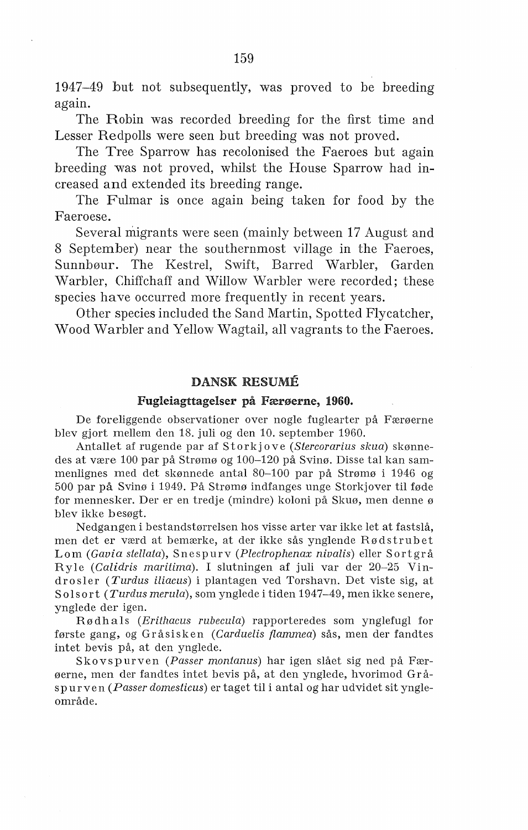1947-49 but not subsequently, was proved to be breeding again.

The Robin was recorded breeding for the first time and Lesser Redpolls were seen but breeding was not proved.

The Tree Sparrow has recolonised the Faeroes but again breeding was not proved, whilst the House Sparrow had increased and extended its breeding range.

The Fulmar is once again being taken for food by the Faeroese.

Several migrants were seen (mainly between 17 August and 8 September) near the southernmost village in the Faeroes, Sunnbøur. The Kestrel, Swift, Barred Warbler, Garden Warbler, Chiffchaff and Willow Warbler were recorded; these species have occurred more frequently in recent years.

Other species included the Sand Martin, Spotted Flycatcher, Wood Warbler and Yellow Wagtail, all vagrants to the Faeroes.

## DANSK RESUME

#### Fugleiagttagelser på Færøerne, 1960.

De foreliggende observationer over nogle fuglearter på Færøerne blev gjort mellem den 18. juli og den 10. september 1960.

Antallet af rugende par af Storkjove *(Stercorarius skua)* skønnedes at være 100 par på Strømø og 100-120 på Svinø. Disse tal kan sammenlignes med det skønnede antal 80-100 par på Strømø i 1946 og 500 par på Svinø i 1949. På Strømø indfanges unge Storkjover til føde for mennesker. Der er en tredje (mindre) koloni på Skuø, men denne ø blev ikke besøgt.

Nedgangen i bestandstørrelsen hos visse arter var ikke let at fastslå, men det er værd at bemærke, at der ikke sås ynglende Rødstrubet Lom *(Gauia stellata),* Snespurv *(Plectrophenax niualis)* eller Sortgrå Ryle *(Calidris maritima).* I slutningen af juli var der 20-25 Vindrosler *(Turdus iliacus)* i plantagen ved Torshavn. Det viste sig, at Solsort *(Turdus merula),* som ynglede i tiden 1947-49, men ikke senere, ynglede der igen.

Rødhals (Erithacus rubecula) rapporteredes som ynglefugl for første gang, og Gråsisken *(Carduelis flammea)* sås, men der fandtes intet bevis på, at den ynglede.

Skovspurven *(Passer montanus)* har igen slået sig ned på Færøerne, men der fandtes intet bevis på, at den ynglede, hvorimod Grås p urve n *(Passer domesticus)* er taget til i antal og har udvidet sit yngleområde.